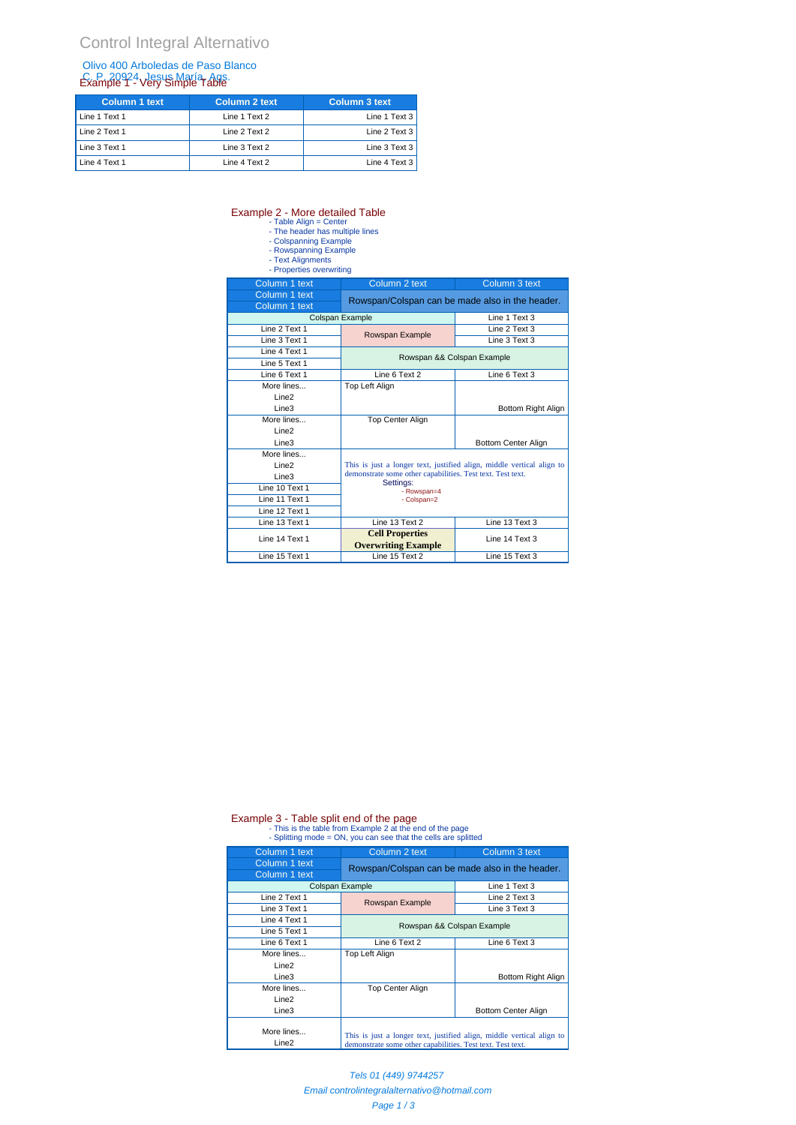#### Olivo 400 Arboledas de Paso Blanco C. P. 20924, Jesus María, Ags.<br>Example 7 - Very Simple Table

| Column 1 text | Column 2 text | <b>Column 3 text</b> |
|---------------|---------------|----------------------|
| Line 1 Text 1 | Line 1 Text 2 | Line 1 Text $3$      |
| Line 2 Text 1 | Line 2 Text 2 | Line 2 Text 3        |
| Line 3 Text 1 | Line 3 Text 2 | Line 3 Text 3        |
| Line 4 Text 1 | Line 4 Text 2 | Line 4 Text 3        |

# Example 2 - More detailed Table<br>
- Table Align = Center<br>
- The header has multiple lines<br>
- Colspanning Example<br>
- Rowspanning Example<br>
- Text Alignments<br>
- Properties overwriting

- 
- 
- 

| Column 1 text     | Column 2 text                                                                                                                                                                  | Column 3 text       |
|-------------------|--------------------------------------------------------------------------------------------------------------------------------------------------------------------------------|---------------------|
| Column 1 text     | Rowspan/Colspan can be made also in the header.                                                                                                                                |                     |
| Column 1 text     |                                                                                                                                                                                |                     |
|                   | Colspan Example                                                                                                                                                                | Line 1 Text 3       |
| Line 2 Text 1     | Rowspan Example                                                                                                                                                                | Line 2 Text 3       |
| Line 3 Text 1     |                                                                                                                                                                                | Line 3 Text 3       |
| Line 4 Text 1     |                                                                                                                                                                                |                     |
| Line 5 Text 1     | Rowspan && Colspan Example                                                                                                                                                     |                     |
| Line 6 Text 1     | Line 6 Text 2                                                                                                                                                                  | Line 6 Text 3       |
| More lines        | Top Left Align                                                                                                                                                                 |                     |
| Line <sub>2</sub> |                                                                                                                                                                                |                     |
| Line <sub>3</sub> |                                                                                                                                                                                | Bottom Right Align  |
| More lines        | <b>Top Center Align</b>                                                                                                                                                        |                     |
| Line <sub>2</sub> |                                                                                                                                                                                |                     |
| Line <sub>3</sub> |                                                                                                                                                                                | Bottom Center Align |
| More lines        |                                                                                                                                                                                |                     |
| Line <sub>2</sub> | This is just a longer text, justified align, middle vertical align to<br>demonstrate some other capabilities. Test text. Test text.<br>Settings:<br>- Rowspan=4<br>- Colspan=2 |                     |
| Line3             |                                                                                                                                                                                |                     |
| Line 10 Text 1    |                                                                                                                                                                                |                     |
| Line 11 Text 1    |                                                                                                                                                                                |                     |
| Line 12 Text 1    |                                                                                                                                                                                |                     |
| Line 13 Text 1    | Line 13 Text 2                                                                                                                                                                 | Line 13 Text 3      |
| Line 14 Text 1    | <b>Cell Properties</b><br><b>Overwriting Example</b>                                                                                                                           | Line 14 Text 3      |
| Line 15 Text 1    | Line 15 Text 2                                                                                                                                                                 | Line 15 Text 3      |

## Example 3 - Table split end of the page<br>- This is the table from Example 2 at the end of the page<br>- Splitting mode = ON, you can see that the cells are splitted

| Column 1 text                   | Column 2 text                                                                                                                       | Column 3 text                                   |
|---------------------------------|-------------------------------------------------------------------------------------------------------------------------------------|-------------------------------------------------|
| Column 1 text                   |                                                                                                                                     | Rowspan/Colspan can be made also in the header. |
| Column 1 text                   |                                                                                                                                     |                                                 |
|                                 | Colspan Example                                                                                                                     | Line 1 Text 3                                   |
| Line 2 Text 1                   | Rowspan Example                                                                                                                     | Line 2 Text 3                                   |
| Line 3 Text 1                   |                                                                                                                                     | Line 3 Text 3                                   |
| Line 4 Text 1                   |                                                                                                                                     | Rowspan && Colspan Example                      |
| Line 5 Text 1                   |                                                                                                                                     |                                                 |
| Line 6 Text 1                   | Line 6 Text 2                                                                                                                       | Line 6 Text 3                                   |
| More lines                      | Top Left Align                                                                                                                      |                                                 |
| Line <sub>2</sub>               |                                                                                                                                     |                                                 |
| Line <sub>3</sub>               |                                                                                                                                     | Bottom Right Align                              |
| More lines                      | <b>Top Center Align</b>                                                                                                             |                                                 |
| Line <sub>2</sub>               |                                                                                                                                     |                                                 |
| Line3                           |                                                                                                                                     | Bottom Center Align                             |
| More lines<br>Line <sub>2</sub> | This is just a longer text, justified align, middle vertical align to<br>demonstrate some other capabilities. Test text. Test text. |                                                 |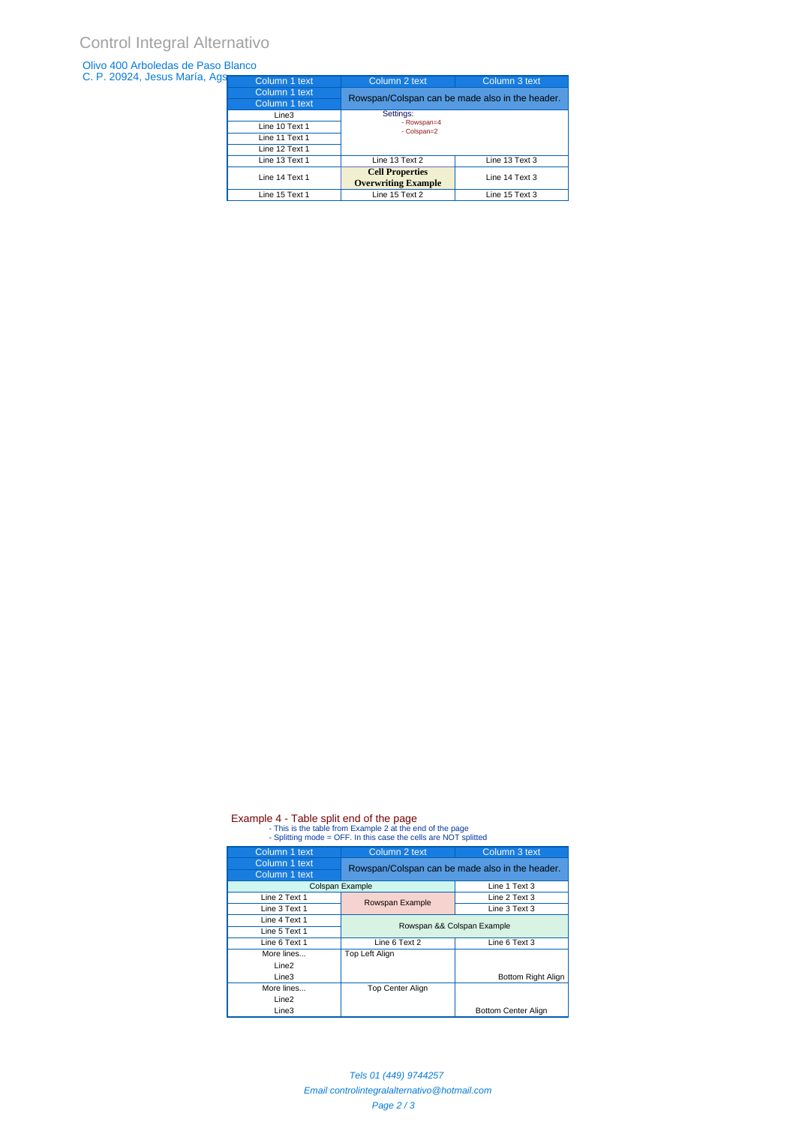#### Olivo 400 Arboledas de Paso Blanco

| C. P. 20924, Jesus María, Ags | Column 1 text  | Column 2 text                                        | Column 3 text  |
|-------------------------------|----------------|------------------------------------------------------|----------------|
|                               | Column 1 text  | Rowspan/Colspan can be made also in the header.      |                |
|                               | Column 1 text  |                                                      |                |
|                               | Line3          | Settings:<br>- Rowspan=4<br>- Colspan=2              |                |
|                               | Line 10 Text 1 |                                                      |                |
|                               | Line 11 Text 1 |                                                      |                |
|                               | Line 12 Text 1 |                                                      |                |
|                               | Line 13 Text 1 | Line 13 Text 2                                       | Line 13 Text 3 |
|                               | Line 14 Text 1 | <b>Cell Properties</b><br><b>Overwriting Example</b> | Line 14 Text 3 |
|                               | Line 15 Text 1 | Line 15 Text 2                                       | Line 15 Text 3 |
|                               |                |                                                      |                |

## Example 4 - Table split end of the page<br>- This is the table from Example 2 at the end of the page<br>- Splitting mode = OFF. In this case the cells are NOT splitted

| Column 1 text     | Column 2 text<br>Column 3 text |                                                 |  |
|-------------------|--------------------------------|-------------------------------------------------|--|
| Column 1 text     |                                | Rowspan/Colspan can be made also in the header. |  |
| Column 1 text     |                                |                                                 |  |
| Colspan Example   |                                | Line 1 Text 3                                   |  |
| Line 2 Text 1     | Rowspan Example                | Line 2 Text 3                                   |  |
| Line 3 Text 1     |                                | Line 3 Text 3                                   |  |
| Line 4 Text 1     |                                |                                                 |  |
| Line 5 Text 1     | Rowspan && Colspan Example     |                                                 |  |
| Line 6 Text 1     | Line 6 Text 2                  | Line 6 Text 3                                   |  |
| More lines        | Top Left Align                 |                                                 |  |
| Line <sub>2</sub> |                                |                                                 |  |
| Line <sub>3</sub> |                                | Bottom Right Align                              |  |
| More lines        | <b>Top Center Align</b>        |                                                 |  |
| Line <sub>2</sub> |                                |                                                 |  |
| Line3             |                                | <b>Bottom Center Align</b>                      |  |